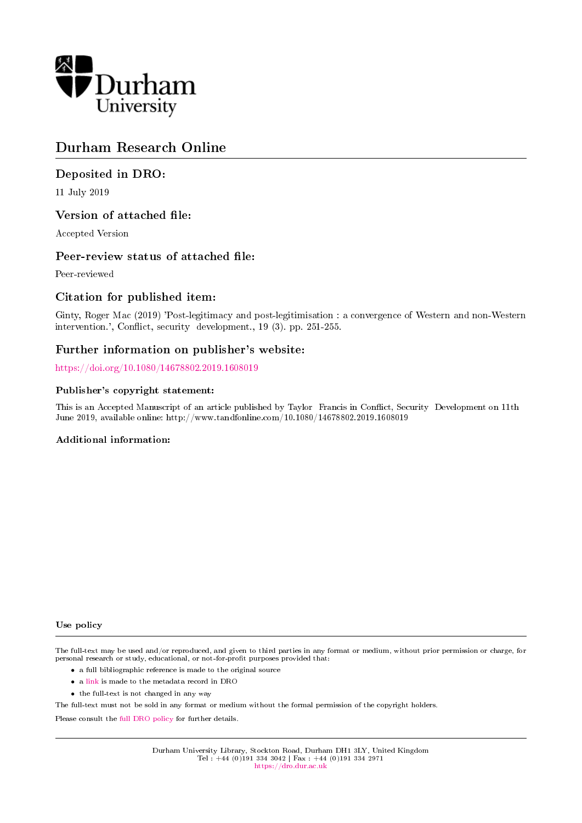

# Durham Research Online

## Deposited in DRO:

11 July 2019

## Version of attached file:

Accepted Version

## Peer-review status of attached file:

Peer-reviewed

## Citation for published item:

Ginty, Roger Mac (2019) 'Post-legitimacy and post-legitimisation : a convergence of Western and non-Western intervention.', Conflict, security development., 19 (3). pp. 251-255.

## Further information on publisher's website:

<https://doi.org/10.1080/14678802.2019.1608019>

#### Publisher's copyright statement:

This is an Accepted Manuscript of an article published by Taylor Francis in Conflict, Security Development on 11th June 2019, available online: http://www.tandfonline.com/10.1080/14678802.2019.1608019

#### Additional information:

#### Use policy

The full-text may be used and/or reproduced, and given to third parties in any format or medium, without prior permission or charge, for personal research or study, educational, or not-for-profit purposes provided that:

- a full bibliographic reference is made to the original source
- a [link](http://dro.dur.ac.uk/28645/) is made to the metadata record in DRO
- the full-text is not changed in any way

The full-text must not be sold in any format or medium without the formal permission of the copyright holders.

Please consult the [full DRO policy](https://dro.dur.ac.uk/policies/usepolicy.pdf) for further details.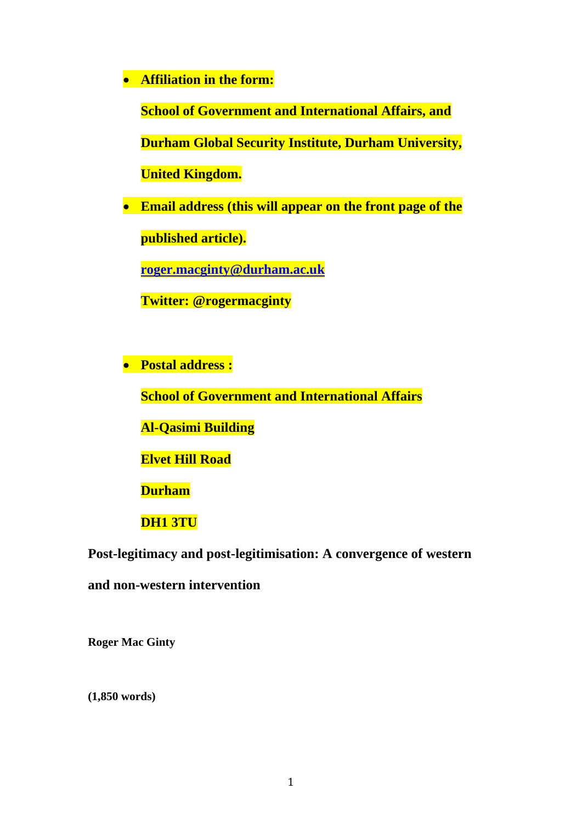• **Affiliation in the form:** 

**School of Government and International Affairs, and** 

**Durham Global Security Institute, Durham University,** 

**United Kingdom.** 

• **Email address (this will appear on the front page of the published article).**

**[roger.macginty@durham.ac.uk](mailto:roger.macginty@durham.ac.uk)**

**Twitter: @rogermacginty**

• **Postal address :**

**School of Government and International Affairs**

**Al-Qasimi Building**

**Elvet Hill Road**

**Durham**

## **DH1 3TU**

**Post-legitimacy and post-legitimisation: A convergence of western** 

**and non-western intervention**

**Roger Mac Ginty**

**(1,850 words)**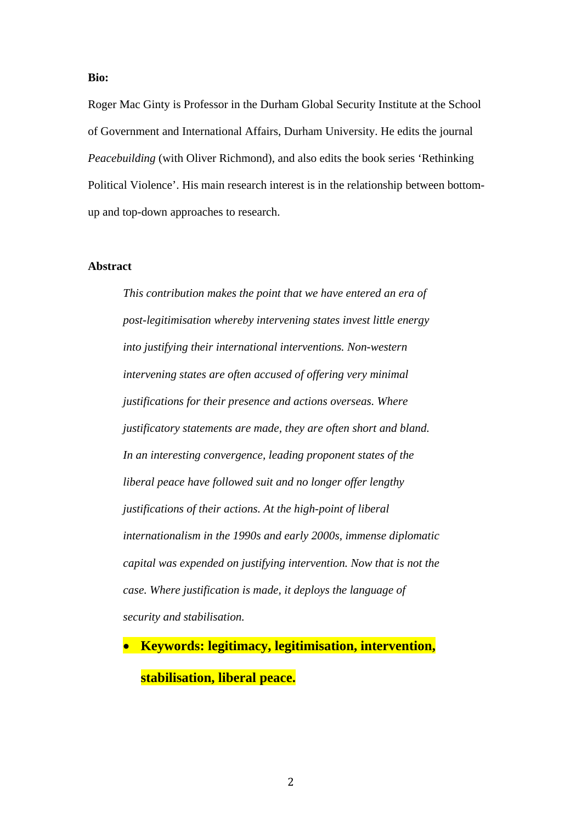Roger Mac Ginty is Professor in the Durham Global Security Institute at the School of Government and International Affairs, Durham University. He edits the journal *Peacebuilding* (with Oliver Richmond), and also edits the book series 'Rethinking Political Violence'. His main research interest is in the relationship between bottomup and top-down approaches to research.

#### **Abstract**

*This contribution makes the point that we have entered an era of post-legitimisation whereby intervening states invest little energy into justifying their international interventions. Non-western intervening states are often accused of offering very minimal justifications for their presence and actions overseas. Where justificatory statements are made, they are often short and bland. In an interesting convergence, leading proponent states of the liberal peace have followed suit and no longer offer lengthy justifications of their actions. At the high-point of liberal internationalism in the 1990s and early 2000s, immense diplomatic capital was expended on justifying intervention. Now that is not the case. Where justification is made, it deploys the language of security and stabilisation.* 

• **Keywords: legitimacy, legitimisation, intervention, stabilisation, liberal peace.**

#### **Bio:**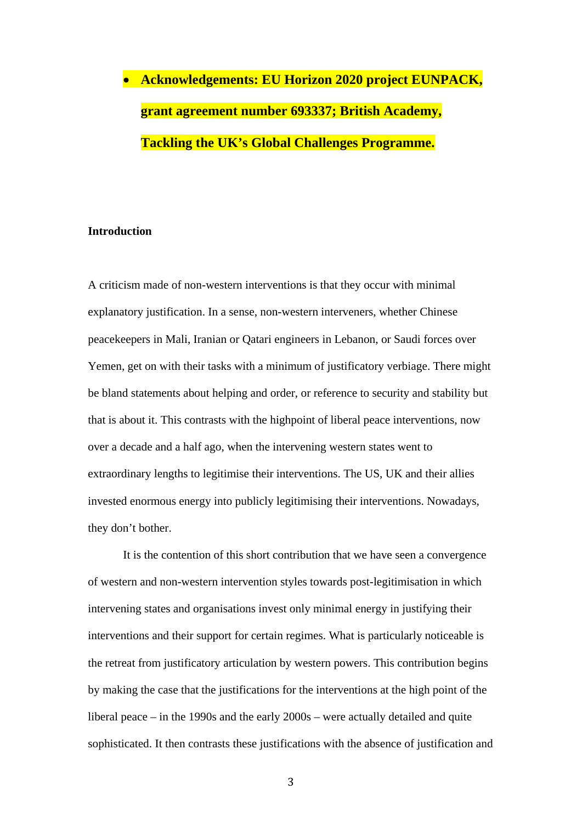# • **Acknowledgements: EU Horizon 2020 project EUNPACK, grant agreement number 693337; British Academy, Tackling the UK's Global Challenges Programme.**

## **Introduction**

A criticism made of non-western interventions is that they occur with minimal explanatory justification. In a sense, non-western interveners, whether Chinese peacekeepers in Mali, Iranian or Qatari engineers in Lebanon, or Saudi forces over Yemen, get on with their tasks with a minimum of justificatory verbiage. There might be bland statements about helping and order, or reference to security and stability but that is about it. This contrasts with the highpoint of liberal peace interventions, now over a decade and a half ago, when the intervening western states went to extraordinary lengths to legitimise their interventions. The US, UK and their allies invested enormous energy into publicly legitimising their interventions. Nowadays, they don't bother.

It is the contention of this short contribution that we have seen a convergence of western and non-western intervention styles towards post-legitimisation in which intervening states and organisations invest only minimal energy in justifying their interventions and their support for certain regimes. What is particularly noticeable is the retreat from justificatory articulation by western powers. This contribution begins by making the case that the justifications for the interventions at the high point of the liberal peace – in the 1990s and the early 2000s – were actually detailed and quite sophisticated. It then contrasts these justifications with the absence of justification and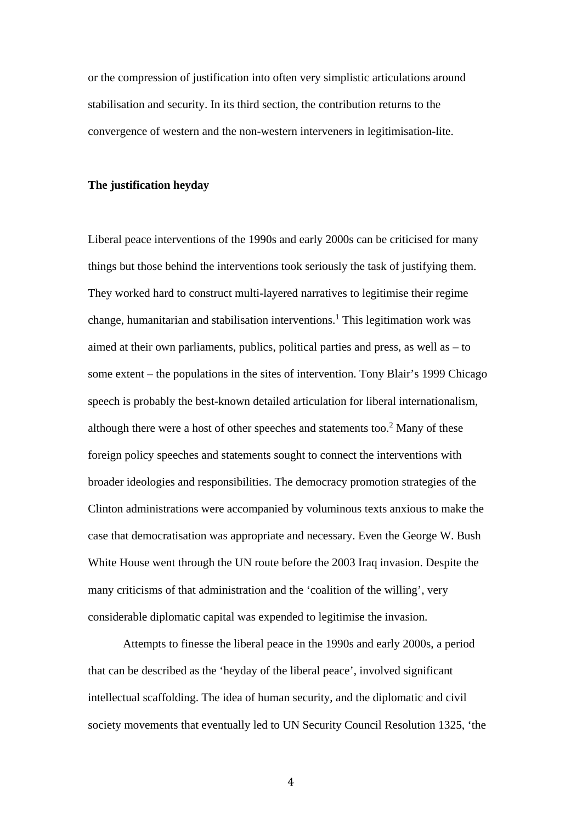or the compression of justification into often very simplistic articulations around stabilisation and security. In its third section, the contribution returns to the convergence of western and the non-western interveners in legitimisation-lite.

#### **The justification heyday**

Liberal peace interventions of the 1990s and early 2000s can be criticised for many things but those behind the interventions took seriously the task of justifying them. They worked hard to construct multi-layered narratives to legitimise their regime change, humanitarian and stabilisation interventions. <sup>1</sup> This legitimation work was aimed at their own parliaments, publics, political parties and press, as well as – to some extent – the populations in the sites of intervention. Tony Blair's 1999 Chicago speech is probably the best-known detailed articulation for liberal internationalism, although there were a host of other speeches and statements too.<sup>2</sup> Many of these foreign policy speeches and statements sought to connect the interventions with broader ideologies and responsibilities. The democracy promotion strategies of the Clinton administrations were accompanied by voluminous texts anxious to make the case that democratisation was appropriate and necessary. Even the George W. Bush White House went through the UN route before the 2003 Iraq invasion. Despite the many criticisms of that administration and the 'coalition of the willing', very considerable diplomatic capital was expended to legitimise the invasion.

Attempts to finesse the liberal peace in the 1990s and early 2000s, a period that can be described as the 'heyday of the liberal peace', involved significant intellectual scaffolding. The idea of human security, and the diplomatic and civil society movements that eventually led to UN Security Council Resolution 1325, 'the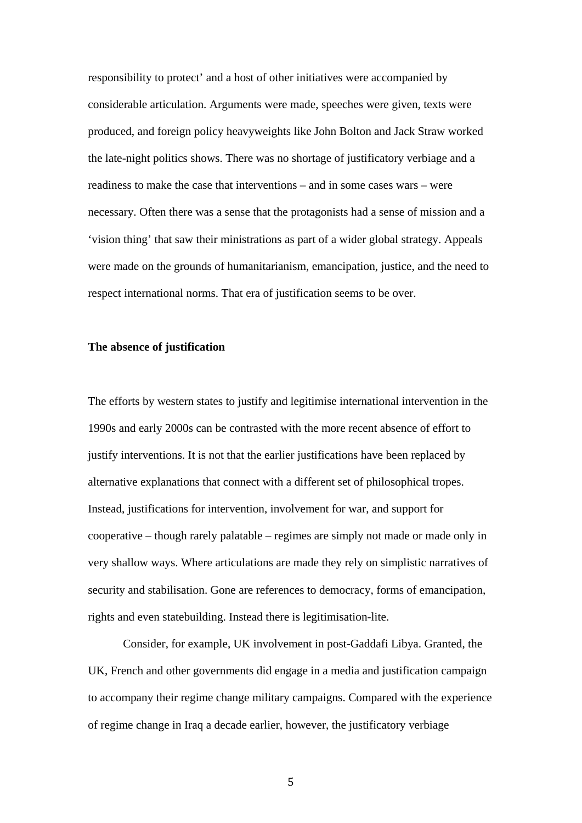responsibility to protect' and a host of other initiatives were accompanied by considerable articulation. Arguments were made, speeches were given, texts were produced, and foreign policy heavyweights like John Bolton and Jack Straw worked the late-night politics shows. There was no shortage of justificatory verbiage and a readiness to make the case that interventions – and in some cases wars – were necessary. Often there was a sense that the protagonists had a sense of mission and a 'vision thing' that saw their ministrations as part of a wider global strategy. Appeals were made on the grounds of humanitarianism, emancipation, justice, and the need to respect international norms. That era of justification seems to be over.

## **The absence of justification**

The efforts by western states to justify and legitimise international intervention in the 1990s and early 2000s can be contrasted with the more recent absence of effort to justify interventions. It is not that the earlier justifications have been replaced by alternative explanations that connect with a different set of philosophical tropes. Instead, justifications for intervention, involvement for war, and support for cooperative – though rarely palatable – regimes are simply not made or made only in very shallow ways. Where articulations are made they rely on simplistic narratives of security and stabilisation. Gone are references to democracy, forms of emancipation, rights and even statebuilding. Instead there is legitimisation-lite.

Consider, for example, UK involvement in post-Gaddafi Libya. Granted, the UK, French and other governments did engage in a media and justification campaign to accompany their regime change military campaigns. Compared with the experience of regime change in Iraq a decade earlier, however, the justificatory verbiage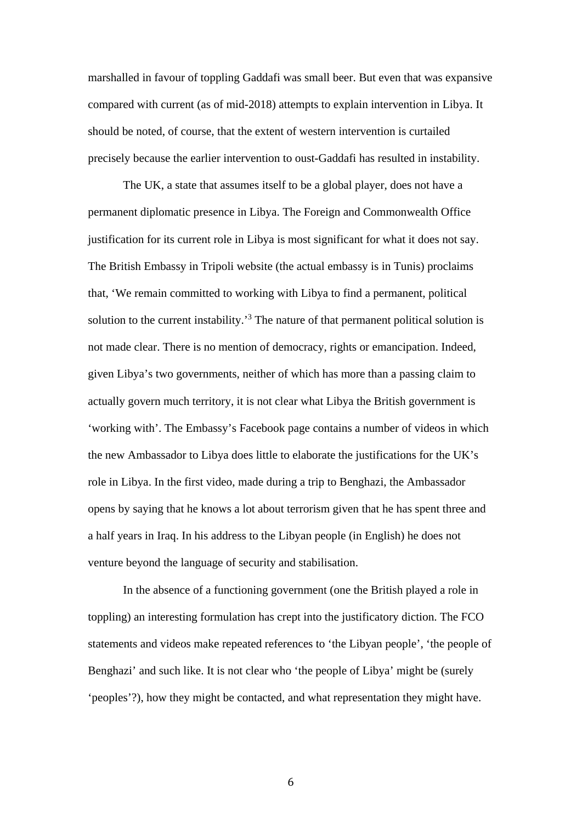marshalled in favour of toppling Gaddafi was small beer. But even that was expansive compared with current (as of mid-2018) attempts to explain intervention in Libya. It should be noted, of course, that the extent of western intervention is curtailed precisely because the earlier intervention to oust-Gaddafi has resulted in instability.

The UK, a state that assumes itself to be a global player, does not have a permanent diplomatic presence in Libya. The Foreign and Commonwealth Office justification for its current role in Libya is most significant for what it does not say. The British Embassy in Tripoli website (the actual embassy is in Tunis) proclaims that, 'We remain committed to working with Libya to find a permanent, political solution to the current instability.<sup>3</sup> The nature of that permanent political solution is not made clear. There is no mention of democracy, rights or emancipation. Indeed, given Libya's two governments, neither of which has more than a passing claim to actually govern much territory, it is not clear what Libya the British government is 'working with'. The Embassy's Facebook page contains a number of videos in which the new Ambassador to Libya does little to elaborate the justifications for the UK's role in Libya. In the first video, made during a trip to Benghazi, the Ambassador opens by saying that he knows a lot about terrorism given that he has spent three and a half years in Iraq. In his address to the Libyan people (in English) he does not venture beyond the language of security and stabilisation.

In the absence of a functioning government (one the British played a role in toppling) an interesting formulation has crept into the justificatory diction. The FCO statements and videos make repeated references to 'the Libyan people', 'the people of Benghazi' and such like. It is not clear who 'the people of Libya' might be (surely 'peoples'?), how they might be contacted, and what representation they might have.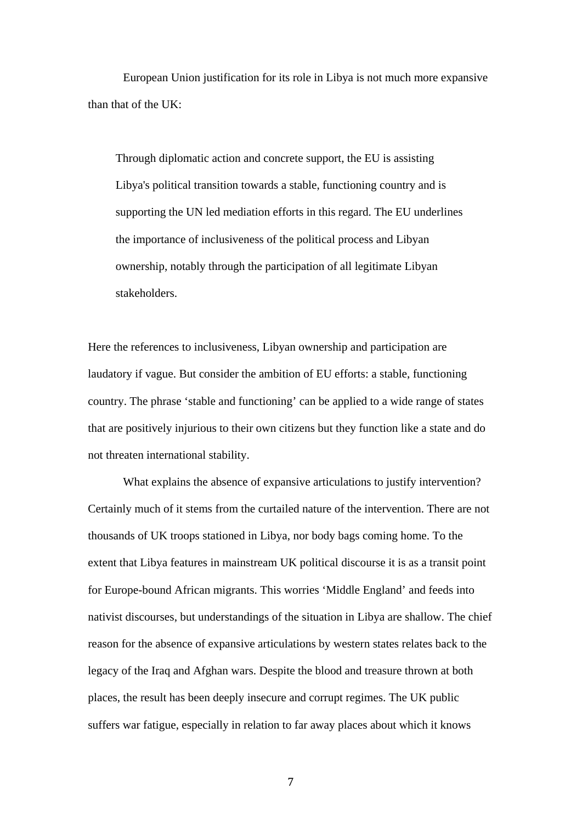European Union justification for its role in Libya is not much more expansive than that of the UK:

Through diplomatic action and concrete support, the EU is assisting Libya's political transition towards a stable, functioning country and is supporting the UN led mediation efforts in this regard. The EU underlines the importance of inclusiveness of the political process and Libyan ownership, notably through the participation of all legitimate Libyan stakeholders.

Here the references to inclusiveness, Libyan ownership and participation are laudatory if vague. But consider the ambition of EU efforts: a stable, functioning country. The phrase 'stable and functioning' can be applied to a wide range of states that are positively injurious to their own citizens but they function like a state and do not threaten international stability.

What explains the absence of expansive articulations to justify intervention? Certainly much of it stems from the curtailed nature of the intervention. There are not thousands of UK troops stationed in Libya, nor body bags coming home. To the extent that Libya features in mainstream UK political discourse it is as a transit point for Europe-bound African migrants. This worries 'Middle England' and feeds into nativist discourses, but understandings of the situation in Libya are shallow. The chief reason for the absence of expansive articulations by western states relates back to the legacy of the Iraq and Afghan wars. Despite the blood and treasure thrown at both places, the result has been deeply insecure and corrupt regimes. The UK public suffers war fatigue, especially in relation to far away places about which it knows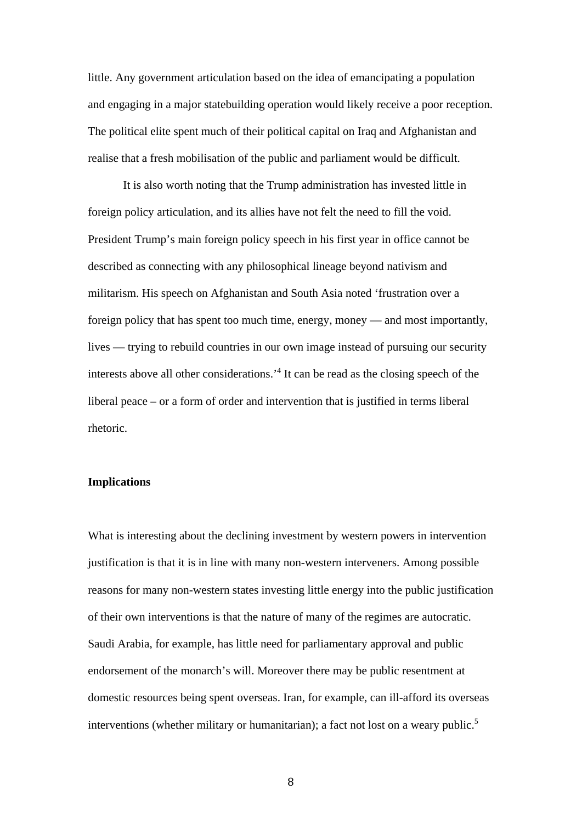little. Any government articulation based on the idea of emancipating a population and engaging in a major statebuilding operation would likely receive a poor reception. The political elite spent much of their political capital on Iraq and Afghanistan and realise that a fresh mobilisation of the public and parliament would be difficult.

It is also worth noting that the Trump administration has invested little in foreign policy articulation, and its allies have not felt the need to fill the void. President Trump's main foreign policy speech in his first year in office cannot be described as connecting with any philosophical lineage beyond nativism and militarism. His speech on Afghanistan and South Asia noted 'frustration over a foreign policy that has spent too much time, energy, money — and most importantly, lives — trying to rebuild countries in our own image instead of pursuing our security interests above all other considerations.'4 It can be read as the closing speech of the liberal peace – or a form of order and intervention that is justified in terms liberal rhetoric.

#### **Implications**

What is interesting about the declining investment by western powers in intervention justification is that it is in line with many non-western interveners. Among possible reasons for many non-western states investing little energy into the public justification of their own interventions is that the nature of many of the regimes are autocratic. Saudi Arabia, for example, has little need for parliamentary approval and public endorsement of the monarch's will. Moreover there may be public resentment at domestic resources being spent overseas. Iran, for example, can ill-afford its overseas interventions (whether military or humanitarian); a fact not lost on a weary public.<sup>5</sup>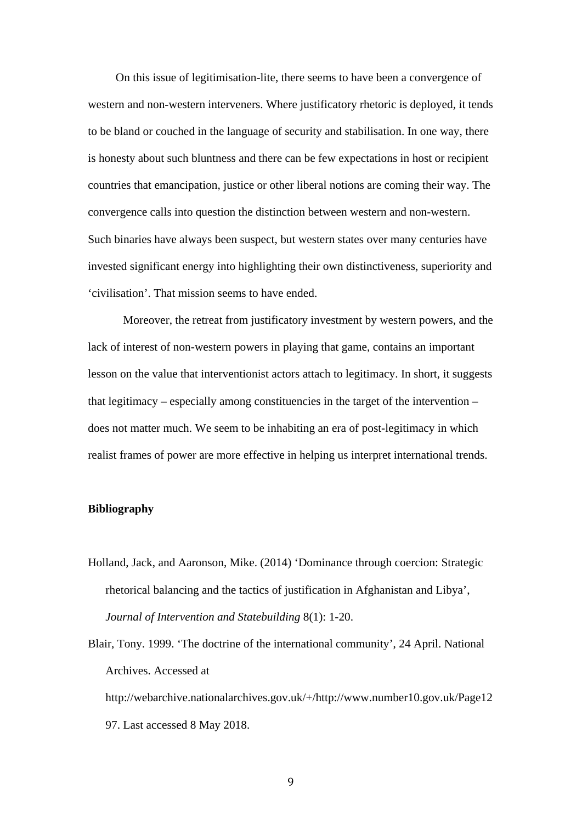On this issue of legitimisation-lite, there seems to have been a convergence of western and non-western interveners. Where justificatory rhetoric is deployed, it tends to be bland or couched in the language of security and stabilisation. In one way, there is honesty about such bluntness and there can be few expectations in host or recipient countries that emancipation, justice or other liberal notions are coming their way. The convergence calls into question the distinction between western and non-western. Such binaries have always been suspect, but western states over many centuries have invested significant energy into highlighting their own distinctiveness, superiority and 'civilisation'. That mission seems to have ended.

Moreover, the retreat from justificatory investment by western powers, and the lack of interest of non-western powers in playing that game, contains an important lesson on the value that interventionist actors attach to legitimacy. In short, it suggests that legitimacy – especially among constituencies in the target of the intervention – does not matter much. We seem to be inhabiting an era of post-legitimacy in which realist frames of power are more effective in helping us interpret international trends.

### **Bibliography**

- Holland, Jack, and Aaronson, Mike. (2014) 'Dominance through coercion: Strategic rhetorical balancing and the tactics of justification in Afghanistan and Libya', *Journal of Intervention and Statebuilding* 8(1): 1-20.
- Blair, Tony. 1999. 'The doctrine of the international community', 24 April. National Archives. Accessed at [http://webarchive.nationalarchives.gov.uk/+/http://www.number10.gov.uk/Page12](http://webarchive.nationalarchives.gov.uk/+/http:/www.number10.gov.uk/Page1297)
	- [97.](http://webarchive.nationalarchives.gov.uk/+/http:/www.number10.gov.uk/Page1297) Last accessed 8 May 2018.